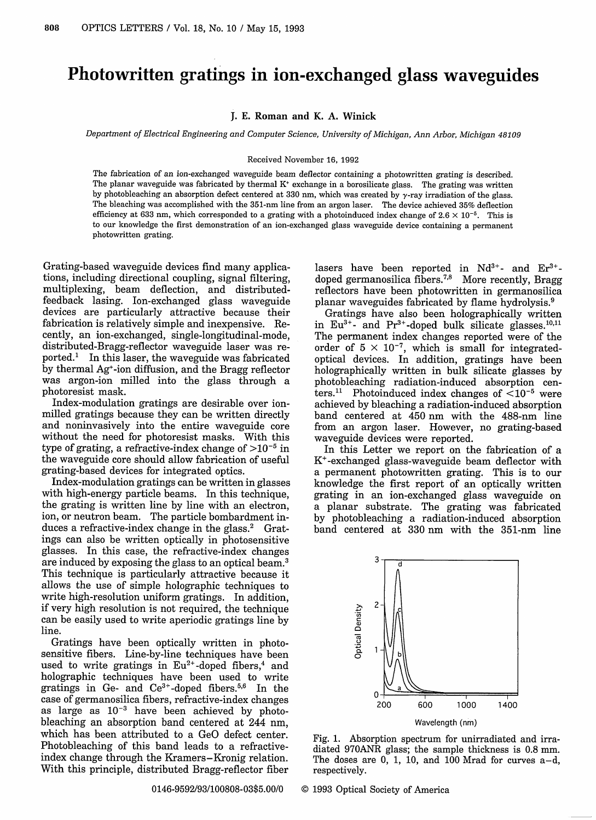## Photowritten gratings in ion-exchanged glass waveguides

J. E. **Roman and K. A. Winick**

*Department of Electrical Engineering and Computer Science, University of Michigan, Ann Arbor, Michigan 48109*

## Received November 16, 1992

The fabrication of an ion-exchanged waveguide beam deflector containing a photowritten grating is described. The planar waveguide was fabricated by thermal  $K<sup>*</sup>$  exchange in a borosilicate glass. The grating was written by photobleaching an absorption defect centered at 330 nm, which was created by  $\nu$ -ray irradiation of the glass. The bleaching was accomplished with the 351-nm line from an argon laser. The device achieved 35% deflection efficiency at 633 nm, which corresponded to a grating with a photoinduced index change of  $2.6 \times 10^{-5}$ . This is to our knowledge the first demonstration of an ion-exchanged glass waveguide device containing a permanent photowritten grating.

Grating-based waveguide devices find many applications, including directional coupling, signal filtering, multiplexing, beam deflection, and distributedfeedback lasing. Ion-exchanged glass waveguide devices are particularly attractive because their fabrication is relatively simple and inexpensive. Recently, an ion-exchanged, single-longitudinal-mode, distributed-Bragg-reflector waveguide laser was reported.' In this laser, the waveguide was fabricated by thermal Ag+-ion diffusion, and the Bragg reflector was argon-ion milled into the glass through a photoresist mask.

Index-modulation gratings are desirable over ionmilled gratings because they can be written directly and noninvasively into the entire waveguide core without the need for photoresist masks. With this type of grating, a refractive-index change of  $>10^{-5}$  in the waveguide core should allow fabrication of useful grating-based devices for integrated optics.

Index-modulation gratings can be written in glasses with high-energy particle beams. In this technique, the grating is written line by line with an electron, ion, or neutron beam. The particle bombardment induces a refractive-index change in the glass. $^{2}$  Gratings can also be written optically in photosensitive glasses. In this case, the refractive-index changes are induced by exposing the glass to an optical beam.3 This technique is particularly attractive because it allows the use of simple holographic techniques to write high-resolution uniform gratings. In addition, if very high resolution is not required, the technique can be easily used to write aperiodic gratings line by line.

Gratings have been optically written in photosensitive fibers. Line-by-line techniques have been used to write gratings in  $Eu^{2+}$ -doped fibers,<sup>4</sup> and holographic techniques have been used to write gratings in Ge- and Ce<sup>3+</sup>-doped fibers.<sup>5,6</sup> In the case of germanosilica fibers, refractive-index changes as large as  $10^{-3}$  have been achieved by photobleaching an absorption band centered at 244 nm, which has been attributed to a GeO defect center. Photobleaching of this band leads to a refractiveindex change through the Kramers-Kronig relation. With this principle, distributed Bragg-reflector fiber

lasers have been reported in  $Nd^{3+}$ - and  $Er^{3+}$ doped germanosilica fibers.<sup>7,8</sup> More recently, Bragg reflectors have been photowritten in germanosilica planar waveguides fabricated by flame hydrolysis.9

Gratings have also been holographically written in  $Eu^{3+}$ - and  $Pr^{3+}$ -doped bulk silicate glasses.<sup>10,11</sup> The permanent index changes reported were of the order of  $5 \times 10^{-7}$ , which is small for integratedoptical devices. In addition, gratings have been holographically written in bulk silicate glasses by photobleaching radiation-induced absorption centers.<sup>11</sup> Photoinduced index changes of  $\leq 10^{-5}$  were achieved by bleaching a radiation-induced absorption band centered at 450 nm with the 488-nm line from an argon laser. However, no grating-based waveguide devices were reported.

In this Letter we report on the fabrication of a K+-exchanged glass-waveguide beam deflector with a permanent photowritten grating. This is to our knowledge the first report of an optically written grating in an ion-exchanged glass waveguide on a planar substrate. The grating was fabricated by photobleaching a radiation-induced absorption band centered at 330 nm with the 351-nm line



Fig. 1. Absorption spectrum for unirradiated and irradiated 970ANR glass; the sample thickness is 0.8 mm. The doses are 0, 1, 10, and 100 Mrad for curves  $a-d$ , respectively.

0146-9592/93/100808-03\$5.00/0 © 1993 Optical Society of America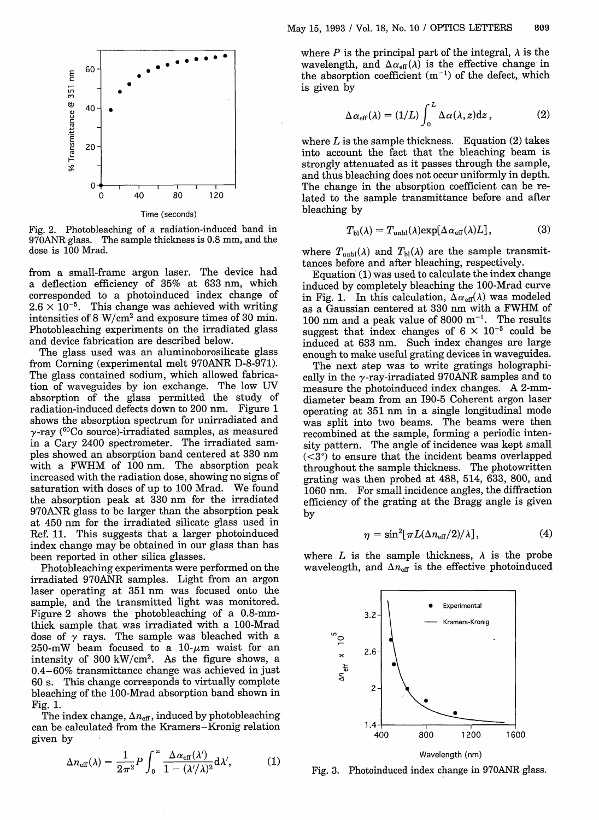

Fig. 2. Photobleaching of a radiation-induced band in 970ANR glass. The sample thickness is 0.8 mm, and the dose is 100 Mrad.

from a small-frame argon laser. The device had a deflection efficiency of 35% at 633 nm, which corresponded to a photoinduced index change of  $2.6 \times 10^{-5}$ . This change was achieved with writing intensities of 8 W/cm<sup>2</sup> and exposure times of 30 min. Photobleaching experiments on the irradiated glass and device fabrication are described below.

The glass used was an aluminoborosilicate glass from Corning (experimental melt 970ANR D-8-971). The glass contained sodium, which allowed fabrication of waveguides by ion exchange. The low UV absorption of the glass permitted the study of radiation-induced defects down to 200 nm. Figure 1 shows the absorption spectrum for unirradiated and y-ray ( 60Co source)-irradiated samples, as measured in a Cary 2400 spectrometer. The irradiated samples showed an absorption band centered at 330 nm with a FWHM of 100 nm. The absorption peak increased with the radiation dose, showing no signs of saturation with doses of up to 100 Mrad. We found the absorption peak at 330 nm for the irradiated 970ANR glass to be larger than the absorption peak at 450 nm for the irradiated silicate glass used in Ref. 11. This suggests that a larger photoinduced index change may be obtained in our glass than has been reported in other silica glasses.

Photobleaching experiments were performed on the irradiated 970ANR samples. Light from an argon laser operating at 351 nm was focused onto the sample, and the transmitted light was monitored. Figure 2 shows the photobleaching of a 0.8-mmthick sample that was irradiated with a 100-Mrad dose of  $\gamma$  rays. The sample was bleached with a 250-mW beam focused to a 10- $\mu$ m waist for an intensity of 300 kW/cm<sup>2</sup>. As the figure shows, a 0.4-60% transmittance change was achieved in just 60 s. This change corresponds to virtually complete bleaching of the 100-Mrad absorption band shown in Fig. 1.

The index change,  $\Delta n_{\text{eff}}$ , induced by photobleaching can be calculated from the Kramers-Kronig relation given by

$$
\Delta n_{\rm eff}(\lambda) = \frac{1}{2\pi^2} P \int_0^\infty \frac{\Delta \alpha_{\rm eff}(\lambda')}{1 - (\lambda'/\lambda)^2} \mathrm{d}\lambda',\tag{1}
$$

where P is the principal part of the integral,  $\lambda$  is the wavelength, and  $\Delta \alpha_{\text{eff}}(\lambda)$  is the effective change in the absorption coefficient  $(m^{-1})$  of the defect, which is given by

$$
\Delta \alpha_{\rm eff}(\lambda) = (1/L) \int_0^L \Delta \alpha(\lambda, z) dz , \qquad (2)
$$

where  $L$  is the sample thickness. Equation  $(2)$  takes into account the fact that the bleaching beam is strongly attenuated as it passes through the sample, and thus bleaching does not occur uniformly in depth. The change in the absorption coefficient can be related to the sample transmittance before and after bleaching by

$$
T_{\rm bl}(\lambda) = T_{\rm unbl}(\lambda) \exp[\Delta \alpha_{\rm eff}(\lambda)L], \tag{3}
$$

where  $T_{\text{unbl}}(\lambda)$  and  $T_{\text{bl}}(\lambda)$  are the sample transmittances before and after bleaching, respectively.

Equation (1) was used to calculate the index change induced by completely bleaching the 100-Mrad curve in Fig. 1. In this calculation,  $\Delta \alpha_{\text{eff}}(\lambda)$  was modeled as a Gaussian centered at 330 nm with a FWHM of 100 nm and a peak value of 8000  $m^{-1}$ . The results suggest that index changes of  $6 \times 10^{-5}$  could be induced at 633 nm. Such index changes are large enough to make useful grating devices in waveguides.

The next step was to write gratings holographically in the  $\gamma$ -ray-irradiated 970ANR samples and to measure the photoinduced index changes. A 2-mmdiameter beam from an I90-5 Coherent argon laser operating at 351 nm in a single longitudinal mode was split into two beams. The beams were then recombined at the sample, forming a periodic intensity pattern. The angle of incidence was kept small  $(*3*<sup>°</sup>)$  to ensure that the incident beams overlapped throughout the sample thickness. The photowritten grating was then probed at 488, 514, 633, 800, and 1060 nm. For small incidence angles, the diffraction efficiency of the grating at the Bragg angle is given by

$$
\eta = \sin^2[\pi L(\Delta n_{\rm eff}/2)/\lambda],\tag{4}
$$

where L is the sample thickness,  $\lambda$  is the probe wavelength, and  $\Delta n_{\text{eff}}$  is the effective photoinduced



Fig. 3. Photoinduced index change in 970ANR glass.